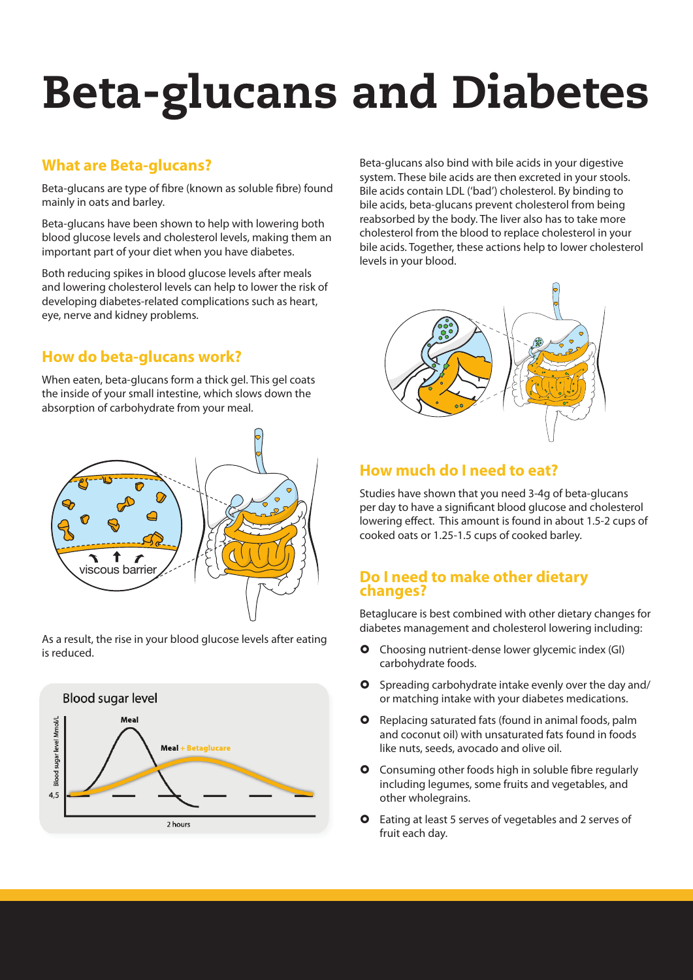# Beta-glucans and Diabetes

#### **What are Beta-glucans?**

Beta-glucans are type of fibre (known as soluble fibre) found mainly in oats and barley.

Beta-glucans have been shown to help with lowering both blood glucose levels and cholesterol levels, making them an important part of your diet when you have diabetes.

Both reducing spikes in blood glucose levels after meals and lowering cholesterol levels can help to lower the risk of developing diabetes-related complications such as heart, eye, nerve and kidney problems.

## **How do beta-glucans work?**

When eaten, beta-glucans form a thick gel. This gel coats the inside of your small intestine, which slows down the absorption of carbohydrate from your meal.



As a result, the rise in your blood glucose levels after eating is reduced.



Beta-glucans also bind with bile acids in your digestive system. These bile acids are then excreted in your stools. Bile acids contain LDL ('bad') cholesterol. By binding to bile acids, beta-glucans prevent cholesterol from being reabsorbed by the body. The liver also has to take more cholesterol from the blood to replace cholesterol in your bile acids. Together, these actions help to lower cholesterol levels in your blood.



### **How much do I need to eat?**

Studies have shown that you need 3-4g of beta-glucans per day to have a significant blood glucose and cholesterol lowering effect. This amount is found in about 1.5-2 cups of cooked oats or 1.25-1.5 cups of cooked barley.

#### **Do I need to make other dietary changes?**

Betaglucare is best combined with other dietary changes for diabetes management and cholesterol lowering including:

- **O** Choosing nutrient-dense lower glycemic index (GI) carbohydrate foods.
- **O** Spreading carbohydrate intake evenly over the day and/ or matching intake with your diabetes medications.
- **O** Replacing saturated fats (found in animal foods, palm and coconut oil) with unsaturated fats found in foods like nuts, seeds, avocado and olive oil.
- **O** Consuming other foods high in soluble fibre regularly including legumes, some fruits and vegetables, and other wholegrains.
- **O** Eating at least 5 serves of vegetables and 2 serves of fruit each day.